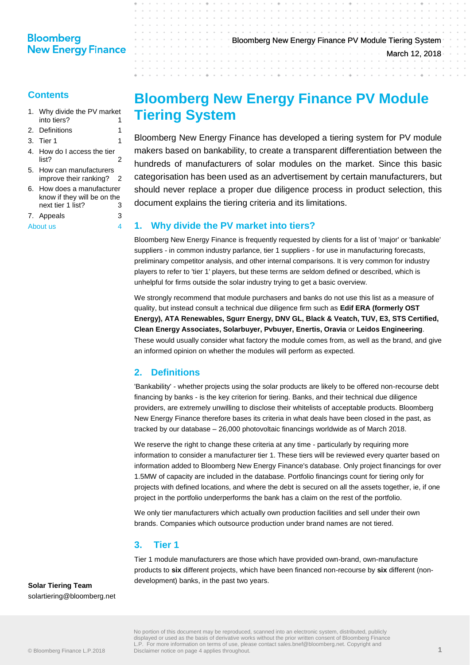## **Bloomberg New Energy Finance**

# Bloomberg New Energy Finance PV Module Tiering System

March 12, 2018

# **Contents**

- 1. [Why divide the PV market](#page-0-0)  [into tiers?](#page-0-0) 1
- 2. [Definitions](#page-0-1) 1
- 3. [Tier 1](#page-0-2) 1
- 4. [How do I access the tier](#page-1-0)   $list?$  2
- 5. [How can manufacturers](#page-1-1)  [improve their ranking?](#page-1-1) 2
- 6. [How does a manufacturer](#page-2-0)  [know if they will be on the](#page-2-0)  [next tier 1 list?](#page-2-0) 3
- 7. [Appeals](#page-2-1) 3

[About us](#page-3-0) 4

# **Bloomberg New Energy Finance PV Module Tiering System**

Bloomberg New Energy Finance has developed a tiering system for PV module makers based on bankability, to create a transparent differentiation between the hundreds of manufacturers of solar modules on the market. Since this basic categorisation has been used as an advertisement by certain manufacturers, but should never replace a proper due diligence process in product selection, this document explains the tiering criteria and its limitations.

## <span id="page-0-0"></span>**1. Why divide the PV market into tiers?**

Bloomberg New Energy Finance is frequently requested by clients for a list of 'major' or 'bankable' suppliers - in common industry parlance, tier 1 suppliers - for use in manufacturing forecasts, preliminary competitor analysis, and other internal comparisons. It is very common for industry players to refer to 'tier 1' players, but these terms are seldom defined or described, which is unhelpful for firms outside the solar industry trying to get a basic overview.

We strongly recommend that module purchasers and banks do not use this list as a measure of quality, but instead consult a technical due diligence firm such as **Edif ERA (formerly OST Energy), ATA Renewables, Sgurr Energy, DNV GL, Black & Veatch, TUV, E3, STS Certified, Clean Energy Associates, Solarbuyer, Pvbuyer, Enertis, Oravia** or **Leidos Engineering**. These would usually consider what factory the module comes from, as well as the brand, and give an informed opinion on whether the modules will perform as expected.

# <span id="page-0-1"></span>**2. Definitions**

'Bankability' - whether projects using the solar products are likely to be offered non-recourse debt financing by banks - is the key criterion for tiering. Banks, and their technical due diligence providers, are extremely unwilling to disclose their whitelists of acceptable products. Bloomberg New Energy Finance therefore bases its criteria in what deals have been closed in the past, as tracked by our database – 26,000 photovoltaic financings worldwide as of March 2018.

We reserve the right to change these criteria at any time - particularly by requiring more information to consider a manufacturer tier 1. These tiers will be reviewed every quarter based on information added to Bloomberg New Energy Finance's database. Only project financings for over 1.5MW of capacity are included in the database. Portfolio financings count for tiering only for projects with defined locations, and where the debt is secured on all the assets together, ie, if one project in the portfolio underperforms the bank has a claim on the rest of the portfolio.

We only tier manufacturers which actually own production facilities and sell under their own brands. Companies which outsource production under brand names are not tiered.

# <span id="page-0-2"></span>**3. Tier 1**

Tier 1 module manufacturers are those which have provided own-brand, own-manufacture products to **six** different projects, which have been financed non-recourse by **six** different (nondevelopment) banks, in the past two years.

**Solar Tiering Team** solartiering@bloomberg.net

© Bloomberg Finance L.P.2018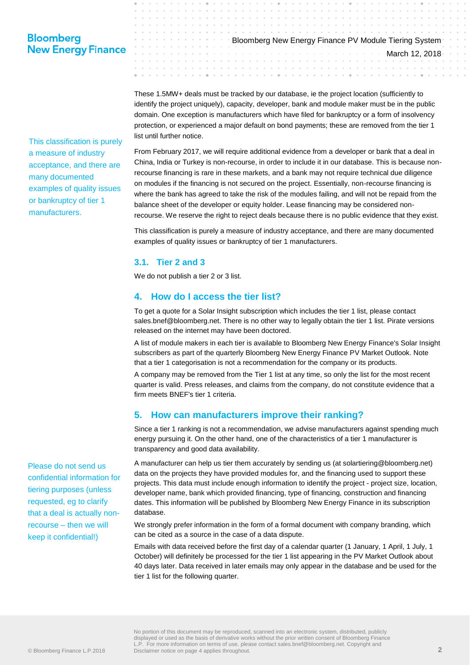## **Bloomberg New Energy Finance**

This classification is purely a measure of industry acceptance, and there are many documented examples of quality issues or bankruptcy of tier 1 manufacturers.

Bloomberg New Energy Finance PV Module Tiering System March 12, 2018

These 1.5MW+ deals must be tracked by our database, ie the project location (sufficiently to identify the project uniquely), capacity, developer, bank and module maker must be in the public domain. One exception is manufacturers which have filed for bankruptcy or a form of insolvency protection, or experienced a major default on bond payments; these are removed from the tier 1 list until further notice.

From February 2017, we will require additional evidence from a developer or bank that a deal in China, India or Turkey is non-recourse, in order to include it in our database. This is because nonrecourse financing is rare in these markets, and a bank may not require technical due diligence on modules if the financing is not secured on the project. Essentially, non-recourse financing is where the bank has agreed to take the risk of the modules failing, and will not be repaid from the balance sheet of the developer or equity holder. Lease financing may be considered nonrecourse. We reserve the right to reject deals because there is no public evidence that they exist.

This classification is purely a measure of industry acceptance, and there are many documented examples of quality issues or bankruptcy of tier 1 manufacturers.

### **3.1. Tier 2 and 3**

We do not publish a tier 2 or 3 list.

### <span id="page-1-0"></span>**4. How do I access the tier list?**

To get a quote for a Solar Insight subscription which includes the tier 1 list, please contact sales.bnef@bloomberg.net. There is no other way to legally obtain the tier 1 list. Pirate versions released on the internet may have been doctored.

A list of module makers in each tier is available to Bloomberg New Energy Finance's Solar Insight subscribers as part of the quarterly Bloomberg New Energy Finance PV Market Outlook. Note that a tier 1 categorisation is not a recommendation for the company or its products.

A company may be removed from the Tier 1 list at any time, so only the list for the most recent quarter is valid. Press releases, and claims from the company, do not constitute evidence that a firm meets BNEF's tier 1 criteria.

## <span id="page-1-1"></span>**5. How can manufacturers improve their ranking?**

Since a tier 1 ranking is not a recommendation, we advise manufacturers against spending much energy pursuing it. On the other hand, one of the characteristics of a tier 1 manufacturer is transparency and good data availability.

A manufacturer can help us tier them accurately by sending us (at solartiering@bloomberg.net) data on the projects they have provided modules for, and the financing used to support these projects. This data must include enough information to identify the project - project size, location, developer name, bank which provided financing, type of financing, construction and financing dates. This information will be published by Bloomberg New Energy Finance in its subscription database.

We strongly prefer information in the form of a formal document with company branding, which can be cited as a source in the case of a data dispute.

Emails with data received before the first day of a calendar quarter (1 January, 1 April, 1 July, 1 October) will definitely be processed for the tier 1 list appearing in the PV Market Outlook about 40 days later. Data received in later emails may only appear in the database and be used for the tier 1 list for the following quarter.

Please do not send us confidential information for tiering purposes (unless requested, eg to clarify that a deal is actually nonrecourse – then we will keep it confidential!)

> No portion of this document may be reproduced, scanned into an electronic system, distributed, publicly displayed or used as the basis of derivative works without the prior written consent of Bloomberg Finance L.P. For more information on terms of use, please contact sales.bnef@bloomberg.net. Copyright and Disclaimer notice on page 4 applies throughout. **2**<br>Disclaimer notice on page 4 applies throughout.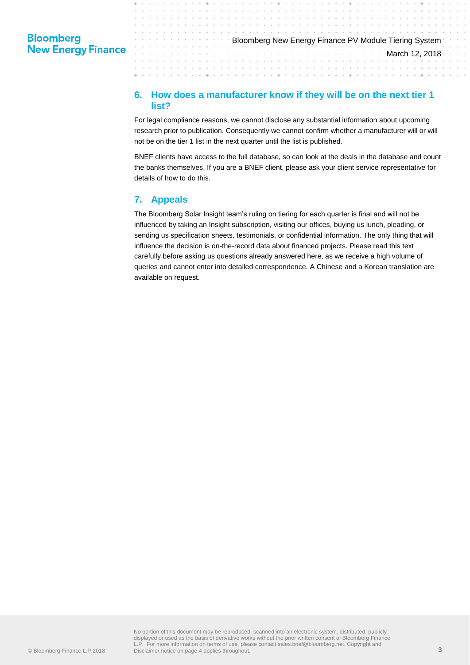Bloomberg New Energy Finance PV Module Tiering System March 12, 2018

## <span id="page-2-0"></span>**6. How does a manufacturer know if they will be on the next tier 1 list?**

For legal compliance reasons, we cannot disclose any substantial information about upcoming research prior to publication. Consequently we cannot confirm whether a manufacturer will or will not be on the tier 1 list in the next quarter until the list is published.

BNEF clients have access to the full database, so can look at the deals in the database and count the banks themselves. If you are a BNEF client, please ask your client service representative for details of how to do this.

## <span id="page-2-1"></span>**7. Appeals**

The Bloomberg Solar Insight team's ruling on tiering for each quarter is final and will not be influenced by taking an Insight subscription, visiting our offices, buying us lunch, pleading, or sending us specification sheets, testimonials, or confidential information. The only thing that will influence the decision is on-the-record data about financed projects. Please read this text carefully before asking us questions already answered here, as we receive a high volume of queries and cannot enter into detailed correspondence. A Chinese and a Korean translation are available on request.